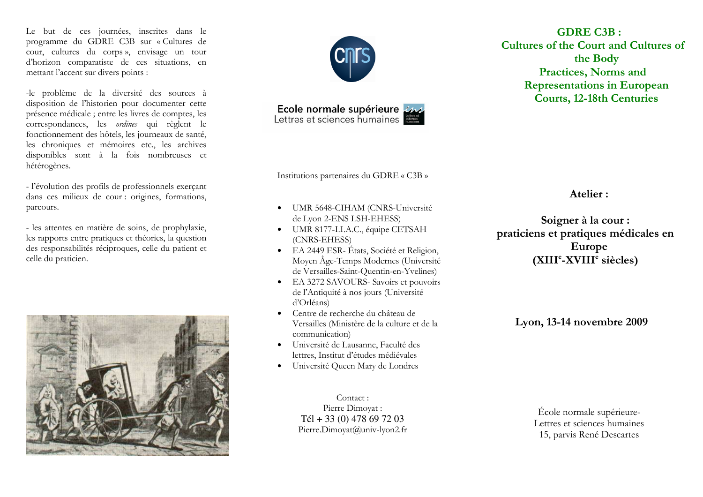Le but de ces journées, inscrites dans le programme du GDRE C3B sur « Cultures de cour, cultures du corps», envisage un tour d'horizon comparatiste de ces situations, en mettant l'accent sur divers points :

-le problème de la diversité des sources à disposition de l'historien pour documenter cette présence médicale : entre les livres de comptes, les correspondances, les *ordines* qui règlent le fonctionnement des hôtels, les journeaux de santé, les chroniques et mémoires etc., les archives disponibles sont à la fois nombreuses et hétérogènes.

- l'évolution des profils de professionnels exerçant dans ces milieux de cour : origines, formations, parcours.

- les attentes en matière de soins, de prophylaxie, les rapports entre pratiques et théories, la question des responsabilités réciproques, celle du patient et celle du praticien.





Ecole normale supérieure

**GDRE C3B: Cultures of the Court and Cultures of** the Body **Practices, Norms and Representations in European Courts, 12-18th Centuries** 

Institutions partenaires du GDRE « C3B »

- UMR 5648-CIHAM (CNRS-Université  $\bullet$ de Lyon 2-ENS LSH-EHESS)
- UMR 8177-I.I.A.C., équipe CETSAH (CNRS-EHESS)
- EA 2449 ESR-États, Société et Religion, Moven Âge-Temps Modernes (Université de Versailles-Saint-Quentin-en-Yvelines)
- EA 3272 SAVOURS- Savoirs et pouvoirs de l'Antiquité à nos jours (Université d'Orléans)
- Centre de recherche du château de Versailles (Ministère de la culture et de la communication)
- Université de Lausanne, Faculté des  $\bullet$ lettres, Institut d'études médiévales
- Université Oueen Mary de Londres  $\bullet$

Contact: Pierre Dimoyat : Tél + 33 (0) 478 69 72 03 Pierre.Dimovat@univ-lyon2.fr

Soigner à la cour : praticiens et pratiques médicales en Europe  $(XIII<sup>e</sup>-XVIII<sup>e</sup>$  siècles)

Atelier:

Lyon, 13-14 novembre 2009

École normale supérieure-Lettres et sciences humaines 15, parvis René Descartes